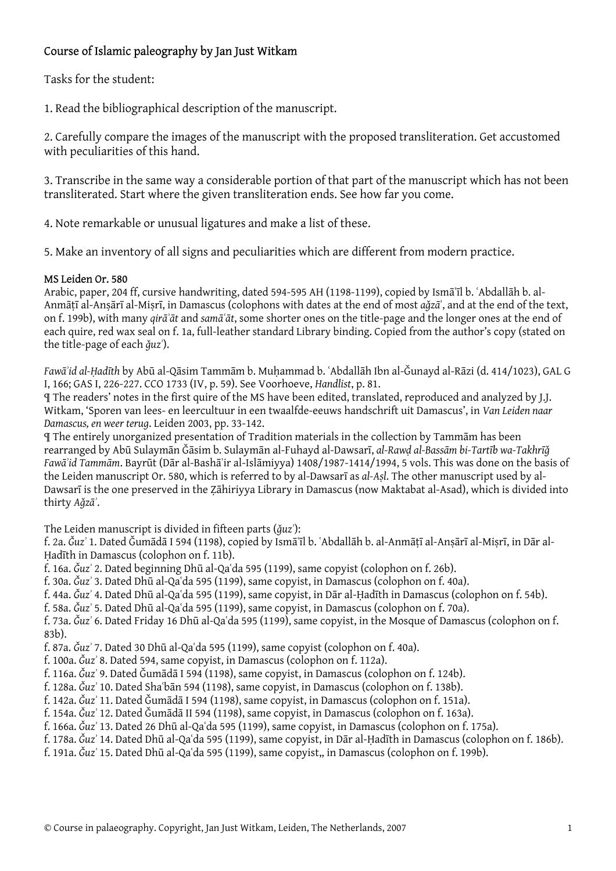## Course of Islamic paleography by Jan Just Witkam

Tasks for the student:

1. Read the bibliographical description of the manuscript.

2. Carefully compare the images of the manuscript with the proposed transliteration. Get accustomed with peculiarities of this hand.

3. Transcribe in the same way a considerable portion of that part of the manuscript which has not been transliterated. Start where the given transliteration ends. See how far you come.

4. Note remarkable or unusual ligatures and make a list of these.

5. Make an inventory of all signs and peculiarities which are different from modern practice.

## MS Leiden Or. 580

Arabic, paper, 204 ff, cursive handwriting, dated 594-595 AH (1198-1199), copied by Ismāʿīl b. ʿAbdallāh b. al-Anmāṭī al-Anṣārī al-Miṣrī, in Damascus (colophons with dates at the end of most *aǧzā*ʾ, and at the end of the text, on f. 199b), with many *qirāʾāt* and *samāʿāt*, some shorter ones on the title-page and the longer ones at the end of each quire, red wax seal on f. 1a, full-leather standard Library binding. Copied from the author's copy (stated on the title-page of each *ǧuzʾ*).

*Fawāʾid al-Ḥadīth* by Abū al-Qāsim Tammām b. Muḥammad b. ʿAbdallāh Ibn al-Ǧunayd al-Rāzi (d. 414/1023), GAL G I, 166; GAS I, 226-227. CCO 1733 (IV, p. 59). See Voorhoeve, *Handlist*, p. 81.

¶ The readers' notes in the first quire of the MS have been edited, translated, reproduced and analyzed by J.J. Witkam, 'Sporen van lees- en leercultuur in een twaalfde-eeuws handschrift uit Damascus', in *Van Leiden naar Damascus, en weer terug*. Leiden 2003, pp. 33-142.

¶ The entirely unorganized presentation of Tradition materials in the collection by Tammām has been rearranged by Abū Sulaymān Ǧāsim b. Sulaymān al-Fuhayd al-Dawsarī, *al-Rawḍ al-Bassām bi-Tartīb wa-Takhrīǧ Fawāʾid Tammām*. Bayrūt (Dār al-Bashāʾir al-Islāmiyya) 1408/1987-1414/1994, 5 vols. This was done on the basis of the Leiden manuscript Or. 580, which is referred to by al-Dawsarī as *al-Aṣl*. The other manuscript used by al-Dawsarī is the one preserved in the Ẓāhiriyya Library in Damascus (now Maktabat al-Asad), which is divided into thirty *Aǧzāʾ*.

The Leiden manuscript is divided in fifteen parts (*ǧuzʾ*):

f. 2a. *Ǧuzʾ* 1. Dated Ǧumādā I 594 (1198), copied by Ismāʿīl b. ʿAbdallāh b. al-Anmāṭī al-Anṣārī al-Miṣrī, in Dār al-Ḥadīth in Damascus (colophon on f. 11b).

f. 16a. *Ǧuzʾ* 2. Dated beginning Dhū al-Qaʿda 595 (1199), same copyist (colophon on f. 26b).

f. 30a. *Ǧuzʾ* 3. Dated Dhū al-Qaʿda 595 (1199), same copyist, in Damascus (colophon on f. 40a).

f. 44a. *Ǧuzʾ* 4. Dated Dhū al-Qaʿda 595 (1199), same copyist, in Dār al-Ḥadīth in Damascus (colophon on f. 54b).

f. 58a. *Ǧuzʾ* 5. Dated Dhū al-Qaʿda 595 (1199), same copyist, in Damascus (colophon on f. 70a).

f. 73a. *Ǧuzʾ* 6. Dated Friday 16 Dhū al-Qaʿda 595 (1199), same copyist, in the Mosque of Damascus (colophon on f. 83b).

f. 87a. *Ǧuzʾ* 7. Dated 30 Dhū al-Qaʿda 595 (1199), same copyist (colophon on f. 40a).

f. 100a. *Ǧuzʾ* 8. Dated 594, same copyist, in Damascus (colophon on f. 112a).

f. 116a. *Ǧuzʾ* 9. Dated Ǧumādā I 594 (1198), same copyist, in Damascus (colophon on f. 124b).

f. 128a. *Ǧuzʾ* 10. Dated Shaʿbān 594 (1198), same copyist, in Damascus (colophon on f. 138b).

f. 142a. *Ǧuzʾ* 11. Dated Ǧumādā I 594 (1198), same copyist, in Damascus (colophon on f. 151a).

f. 154a. *Ǧuzʾ* 12. Dated Ǧumādā II 594 (1198), same copyist, in Damascus (colophon on f. 163a).

f. 166a. *Ǧuzʾ* 13. Dated 26 Dhū al-Qaʿda 595 (1199), same copyist, in Damascus (colophon on f. 175a).

f. 178a. *Ǧuzʾ* 14. Dated Dhū al-Qaʿda 595 (1199), same copyist, in Dār al-Ḥadīth in Damascus (colophon on f. 186b).

f. 191a. *Ǧuzʾ* 15. Dated Dhū al-Qaʿda 595 (1199), same copyist,, in Damascus (colophon on f. 199b).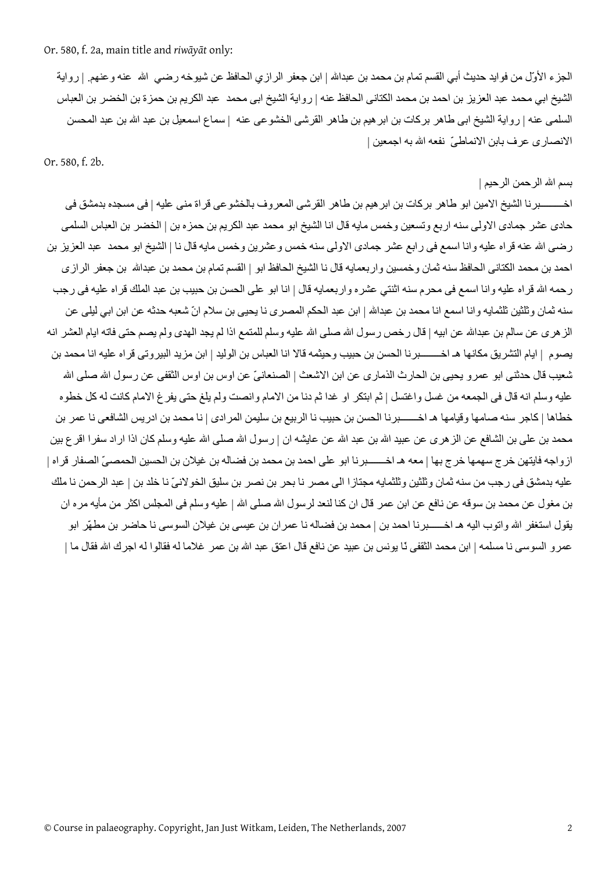Or. 580, f. 2a, main title and *riwāyāt* only:

الجزء الأوّل من فوايد حديث أبي القسم تمام بن محمد بن عبداالله | ابن جعفر الرازي الحافظ عن شيوخه رضي االله عنه وعنهم. | رواية الشيخ ابي محمد عبد العزيز بن احمد بن محمد الكتانى الحافظ عنه | رواية الشيخ ابى محمد عبد الكريم بن حمزة بن الخضر بن العباس السلمى عنه | رواية الشيخ ابى طاهر بركات بن ابر هيم بن طاهر القرشى الخشوعى عنه | سماع اسمعيل بن عبد الله بن عبد المحسن الانصارى عرف بابن الانماطىّ نفعه االله به اجمعين |

Or. 580, f. 2b.

بسم االله الرحمن الرحيم |

اخـــــــــبرنا الشيخ الامين ابو طاهر بركات بن ابر هيم بن طاهر القرشى المعروف بالخشوعى قراة منى عليه | فى مسجده بدمشق فى حادى عشر جمادى الاولى سنه اربع وتسعين وخمس مايه قال انا الشيخ ابو محمد عبد الكريم بن حمزه بن | الخضر بن العباس السلمى رضى االله عنه قراه عليه وانا اسمع فى رابع عشر جمادى الاولى سنه خمس وعشرين وخمس مايه قال نا | الشيخ ابو محمد عبد العزيز بن احمد بن محمد الكتانى الحافظ سنه ثمان وخمسين واربعمايه قال نا الشيخ الحافظ ابو | القسم تمام بن محمد بن عبداالله بن جعفر الرازى ر حمه الله قراه عليه وانا اسمع فى محرم سنه اثنتي عشره واربعمايه قال | انا ابو على الحسن بن حبيب بن عبد الملك قراه عليه فى رجب سنه ثمان وثلثين ثلثمايه وانا اسمع انا محمد بن عبدالله | ابن عبد الحكم المصرى نا يحيى بن سلام انّ شعبه حدثه عن ابن ابي ليلى عن الز هرى عن سالم بن عبدالله عن ابيه | قال رخص رسول الله صلى الله عليه وسلم للمتمع اذا لم يجد الهدى ولم يصم حتى فاته ايام العشر انه يصوم | ايام التشريق مكانها هـ اخــــــــبرنا الحسن بن حبيب وحيثمه قالا انا العباس بن الوليد | ابن مزيد البيروتى قراه عليه انا محمد بن شعيب قال حدثنى ابو عمرو يحيى بن الحارث الذمارى عن ابن الاشعث | الصنعانيّ عن اوس بن اوس الثقفى عن رسول الله صلى الله عليه وسلم انه قال فى الجمعه من غسل واغتسل | ثم ابتكر او غدا ثم دنا من الامام وانصت ولم يلغ حتى يفرغ الامام كانت له كل خطوه خطاها | كاجر سنه صامها وقيامها هـ اخــــــبرنا الحسن بن حبيب نا الربيع بن سليمن المرادى | نا محمد بن ادريس الشافعي نا عمر بن محمد بن على بن الشافع عن الزهرى عن عبيد الله بن عبد الله عن عايشه ان | رسول الله صلى الله عليه وسلم كان اذا اراد سفرا اقرع بين ازواجه فايتهن خرج سهمها خرج بها | معه هـ اخـــــــبرنا ابو على احمد بن محمد بن فضاله بن غيلان بن الحسين الحمصىّ الصفار قراه | عليه بدمشق فى رجب من سنه ثمان وثلثين وثلثمايه مجتازا الى مصر نا بحر بن نصر بن سليق الخولانىّ نا خلد بن | عبد الرحمن نا ملك بن مغول عن محمد بن سوقه عن نافع عن ابن عمر قال ان كنا لنعد لر سول الله صلى الله | عليه وسلم فى المجلس اكثر من مأيه مر ه ان يقول استغفر الله واتوب اليه هـ اخــــــبرنا احمد بن | محمد بن فضاله نا عمران بن عيسى بن غيلان السوسى نا حاضر بن مطهّر ابو عمرو السوسى نا مسلمه | ابن محمد الثقفى نّا يونس بن عبيد عن نافع قال اعتق عبد الله بن عمر غلاما له فقالوا له اجرك الله فقال ما |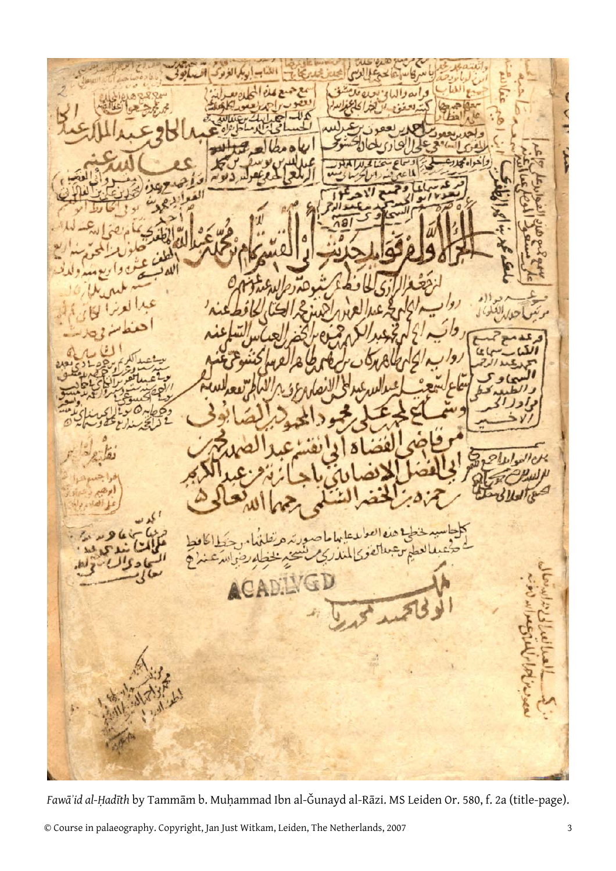*Fawāʾid al-Ḥadīth* by Tammām b. Muḥammad Ibn al-Ǧunayd al-Rāzi. MS Leiden Or. 580, f. 2a (title-page).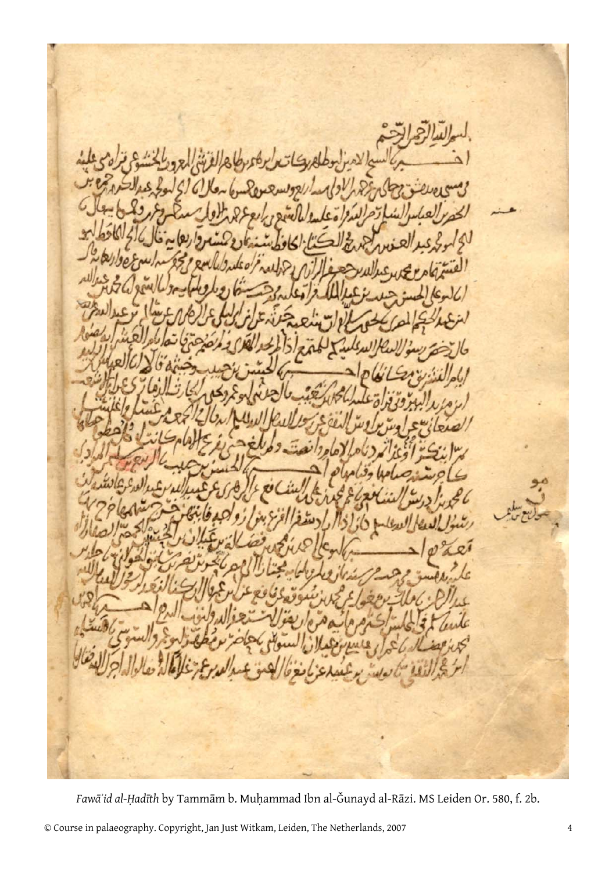*Fawāʾid al-Ḥadīth* by Tammām b. Muḥammad Ibn al-Ǧunayd al-Rāzi. MS Leiden Or. 580, f. 2b.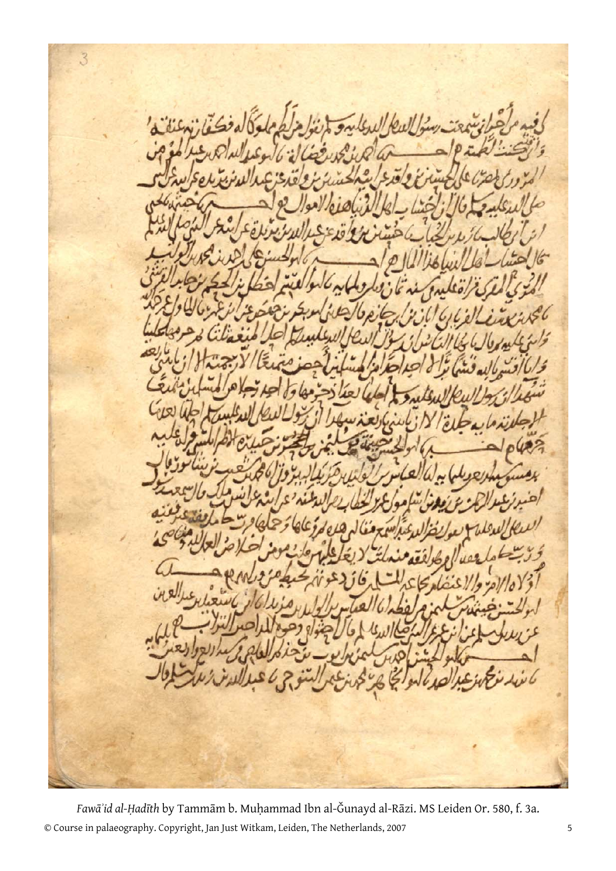$\overline{3}$ 

© Course in palaeography. Copyright, Jan Just Witkam, Leiden, The Netherlands, 2007 5 *Fawāʾid al-Ḥadīth* by Tammām b. Muḥammad Ibn al-Ǧunayd al-Rāzi. MS Leiden Or. 580, f. 3a.